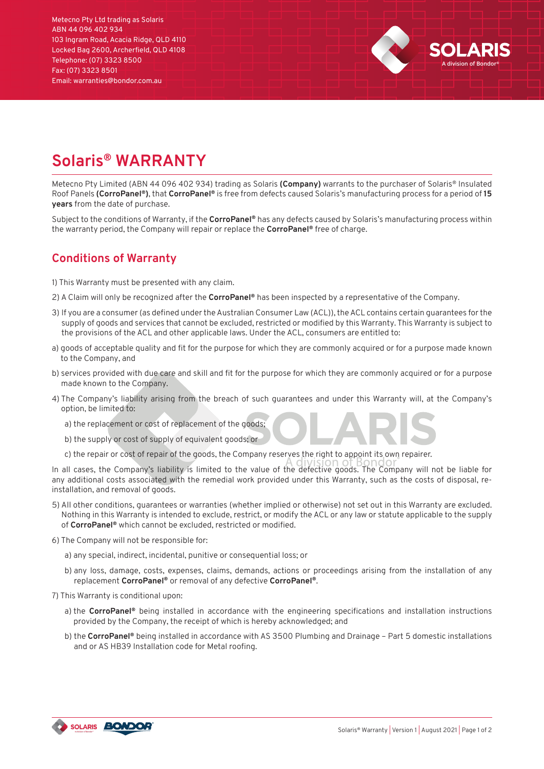Metecno Pty Ltd trading as Solaris ABN 44 096 402 934 103 Ingram Road, Acacia Ridge, QLD 4110 Locked Bag 2600, Archerfield, QLD 4108 Telephone: (07) 3323 8500 Fax: (07) 3323 8501 Email: warranties@bondor.com.au



## **Solaris® WARRANTY**

Metecno Pty Limited (ABN 44 096 402 934) trading as Solaris **(Company)** warrants to the purchaser of Solaris® Insulated Roof Panels **(CorroPanel®)**, that **CorroPanel®** is free from defects caused Solaris's manufacturing process for a period of **15 years** from the date of purchase.

Subject to the conditions of Warranty, if the **CorroPanel®** has any defects caused by Solaris's manufacturing process within the warranty period, the Company will repair or replace the **CorroPanel®** free of charge.

## **Conditions of Warranty**

1) This Warranty must be presented with any claim.

- 2) A Claim will only be recognized after the **CorroPanel®** has been inspected by a representative of the Company.
- 3) If you are a consumer (as defined under the Australian Consumer Law (ACL)), the ACL contains certain guarantees for the supply of goods and services that cannot be excluded, restricted or modified by this Warranty. This Warranty is subject to the provisions of the ACL and other applicable laws. Under the ACL, consumers are entitled to:
- a) goods of acceptable quality and fit for the purpose for which they are commonly acquired or for a purpose made known to the Company, and
- b) services provided with due care and skill and fit for the purpose for which they are commonly acquired or for a purpose made known to the Company.
- 4) The Company's liability arising from the breach of such guarantees and under this Warranty will, at the Company's option, be limited to:
	- a) the replacement or cost of replacement of the goods;
	- b) the supply or cost of supply of equivalent goods; or
	- c) the repair or cost of repair of the goods, the Company reserves the right to appoint its own repairer.

In all cases, the Company's liability is limited to the value of the defective goods. The Company will not be liable for any additional costs associated with the remedial work provided under this Warranty, such as the costs of disposal, reinstallation, and removal of goods.

- 5) All other conditions, guarantees or warranties (whether implied or otherwise) not set out in this Warranty are excluded. Nothing in this Warranty is intended to exclude, restrict, or modify the ACL or any law or statute applicable to the supply of **CorroPanel®** which cannot be excluded, restricted or modified.
- 6) The Company will not be responsible for:
	- a) any special, indirect, incidental, punitive or consequential loss; or
	- b) any loss, damage, costs, expenses, claims, demands, actions or proceedings arising from the installation of any replacement **CorroPanel®** or removal of any defective **CorroPanel®**.
- 7) This Warranty is conditional upon:
	- a) the **CorroPanel®** being installed in accordance with the engineering specifications and installation instructions provided by the Company, the receipt of which is hereby acknowledged; and
	- b) the **CorroPanel®** being installed in accordance with AS 3500 Plumbing and Drainage Part 5 domestic installations and or AS HB39 Installation code for Metal roofing.